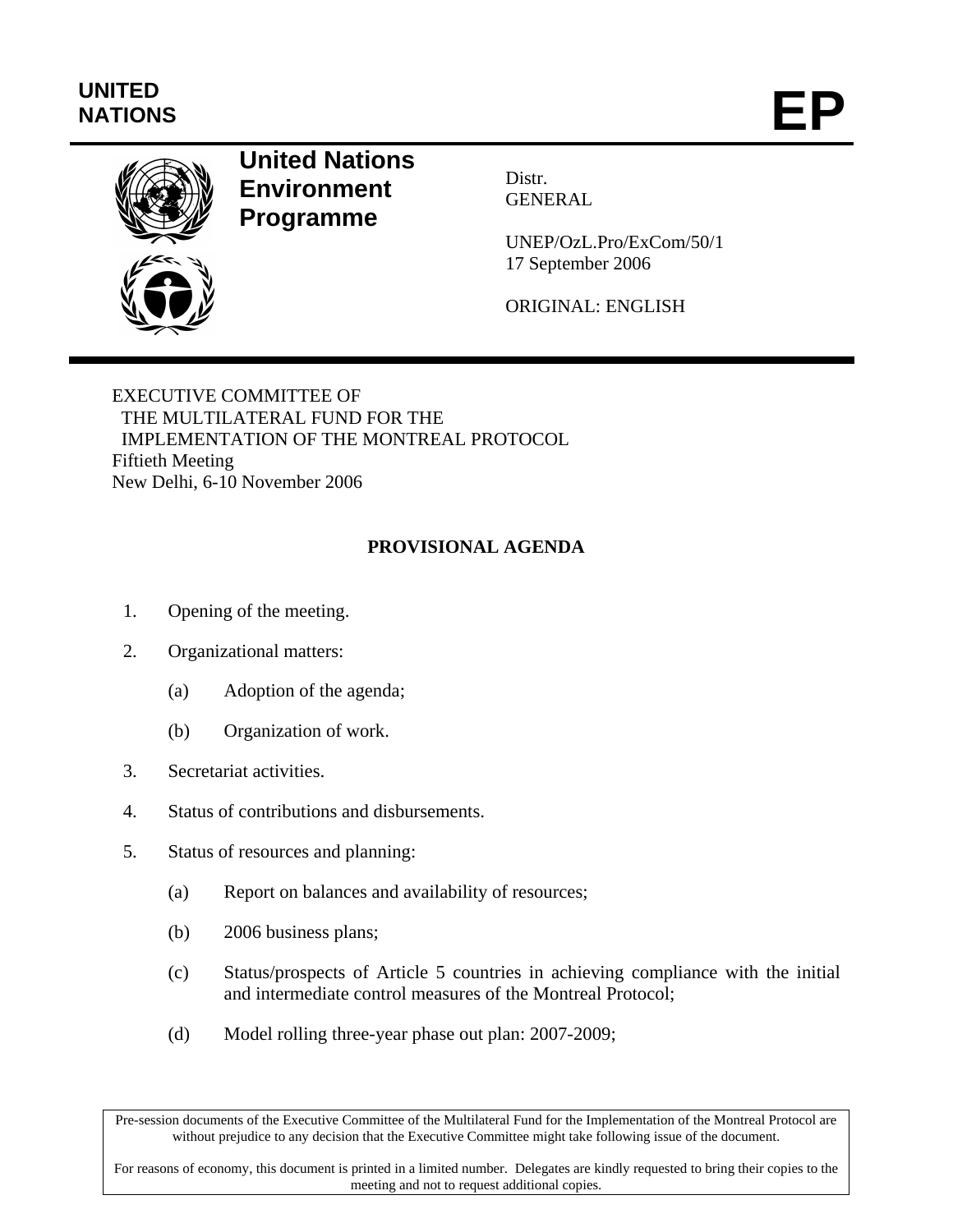## **UNITED**  UNITED<br>NATIONS **EP**



## **United Nations Environment Programme**

Distr. GENERAL

UNEP/OzL.Pro/ExCom/50/1 17 September 2006

ORIGINAL: ENGLISH

EXECUTIVE COMMITTEE OF THE MULTILATERAL FUND FOR THE IMPLEMENTATION OF THE MONTREAL PROTOCOL Fiftieth Meeting New Delhi, 6-10 November 2006

## **PROVISIONAL AGENDA**

- 1. Opening of the meeting.
- 2. Organizational matters:
	- (a) Adoption of the agenda;
	- (b) Organization of work.
- 3. Secretariat activities.
- 4. Status of contributions and disbursements.
- 5. Status of resources and planning:
	- (a) Report on balances and availability of resources;
	- (b) 2006 business plans;
	- (c) Status/prospects of Article 5 countries in achieving compliance with the initial and intermediate control measures of the Montreal Protocol;
	- (d) Model rolling three-year phase out plan: 2007-2009;

Pre-session documents of the Executive Committee of the Multilateral Fund for the Implementation of the Montreal Protocol are without prejudice to any decision that the Executive Committee might take following issue of the document.

For reasons of economy, this document is printed in a limited number. Delegates are kindly requested to bring their copies to the meeting and not to request additional copies.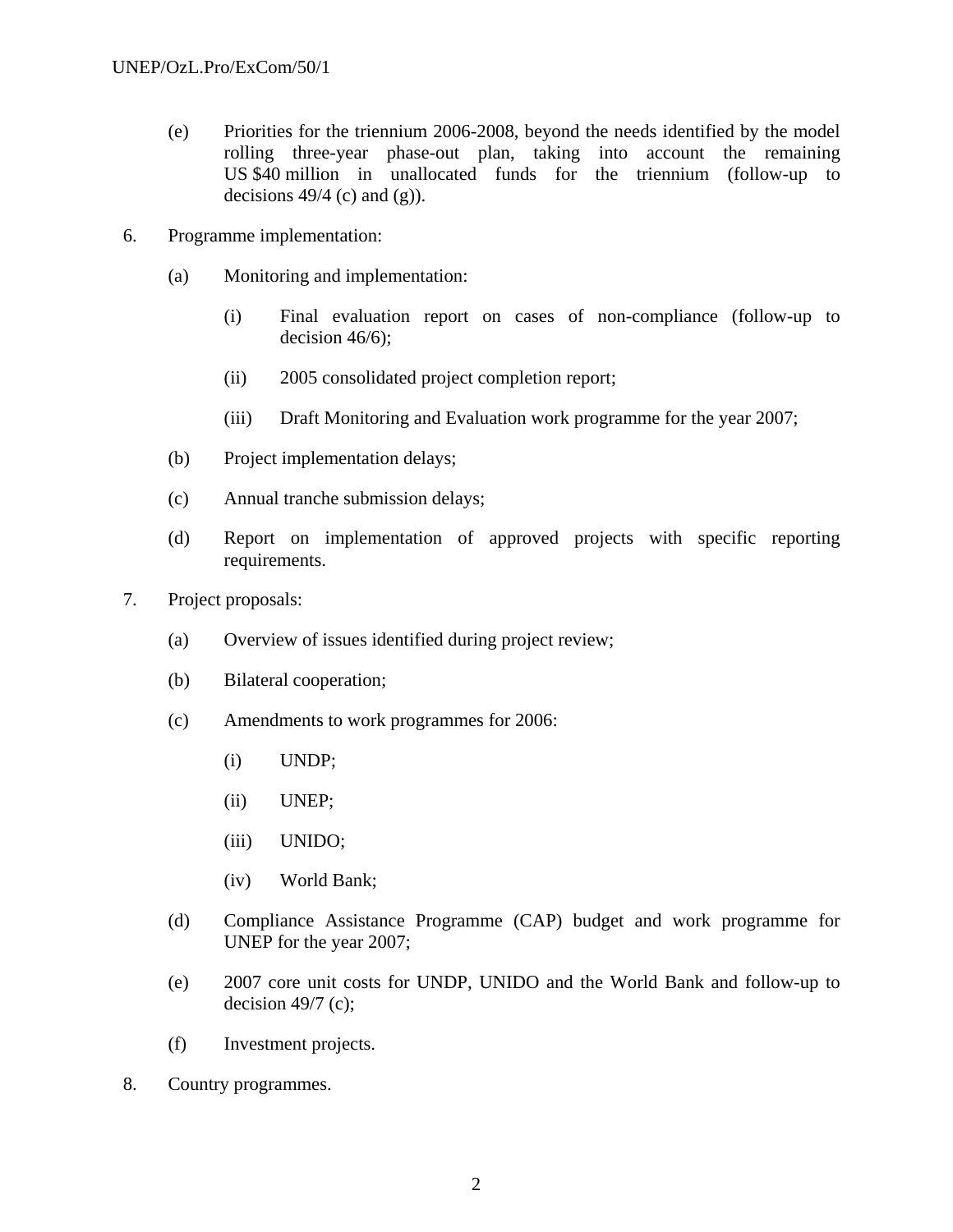- (e) Priorities for the triennium 2006-2008, beyond the needs identified by the model rolling three-year phase-out plan, taking into account the remaining US \$40 million in unallocated funds for the triennium (follow-up to decisions  $49/4$  (c) and (g)).
- 6. Programme implementation:
	- (a) Monitoring and implementation:
		- (i) Final evaluation report on cases of non-compliance (follow-up to decision 46/6);
		- (ii) 2005 consolidated project completion report;
		- (iii) Draft Monitoring and Evaluation work programme for the year 2007;
	- (b) Project implementation delays;
	- (c) Annual tranche submission delays;
	- (d) Report on implementation of approved projects with specific reporting requirements.
- 7. Project proposals:
	- (a) Overview of issues identified during project review;
	- (b) Bilateral cooperation;
	- (c) Amendments to work programmes for 2006:
		- (i) UNDP;
		- (ii) UNEP;
		- (iii) UNIDO;
		- (iv) World Bank;
	- (d) Compliance Assistance Programme (CAP) budget and work programme for UNEP for the year 2007;
	- (e) 2007 core unit costs for UNDP, UNIDO and the World Bank and follow-up to decision  $49/7$  (c);
	- (f) Investment projects.
- 8. Country programmes.